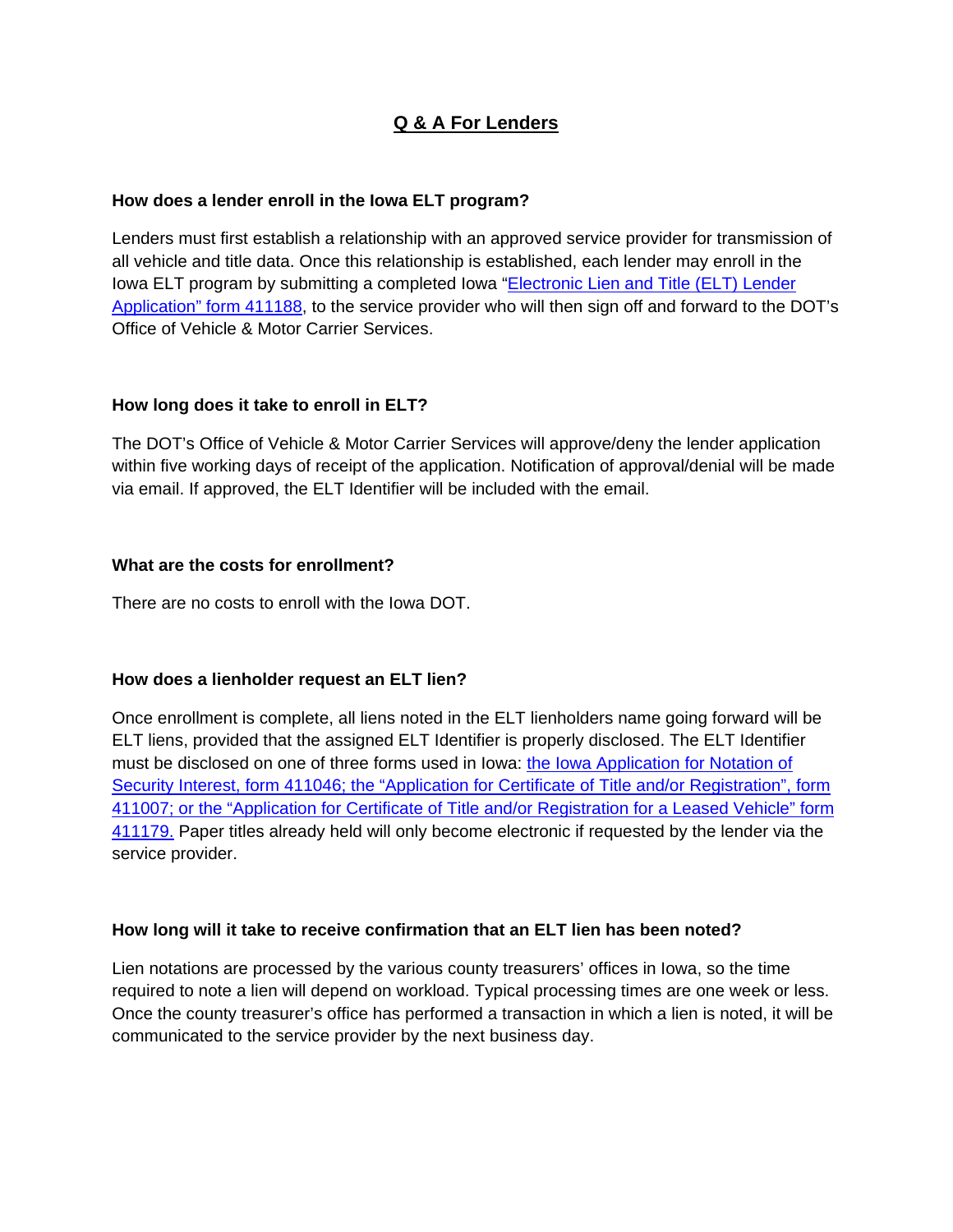# **Q & A For Lenders**

#### **How does a lender enroll in the Iowa ELT program?**

Lenders must first establish a relationship with an approved service provider for transmission of all vehicle and title data. Once this relationship is established, each lender may enroll in the [Iowa ELT program by submitting a completed Iowa "Electronic Lien and Title \(ELT\) Lender](https://forms.iowadot.gov/BrowseForms.aspx?category=5)  Application" form 411188, to the service provider who will then sign off and forward to the DOT's Office of Vehicle & Motor Carrier Services.

#### **How long does it take to enroll in ELT?**

The DOT's Office of Vehicle & Motor Carrier Services will approve/deny the lender application within five working days of receipt of the application. Notification of approval/denial will be made via email. If approved, the ELT Identifier will be included with the email.

#### **What are the costs for enrollment?**

There are no costs to enroll with the Iowa DOT.

#### **How does a lienholder request an ELT lien?**

Once enrollment is complete, all liens noted in the ELT lienholders name going forward will be ELT liens, provided that the assigned ELT Identifier is properly disclosed. The ELT Identifier must be disclosed on one of three forms used in Iowa: the Iowa Application for Notation of [Security Interest, form 411046; the "Application for Certificate of Title and/or Registration", form](https://forms.iowadot.gov/BrowseForms.aspx)  411007; or the "Application for Certificate of Title and/or Registration for a Leased Vehicle" form 411179. Paper titles already held will only become electronic if requested by the lender via the service provider.

# **How long will it take to receive confirmation that an ELT lien has been noted?**

Lien notations are processed by the various county treasurers' offices in Iowa, so the time required to note a lien will depend on workload. Typical processing times are one week or less. Once the county treasurer's office has performed a transaction in which a lien is noted, it will be communicated to the service provider by the next business day.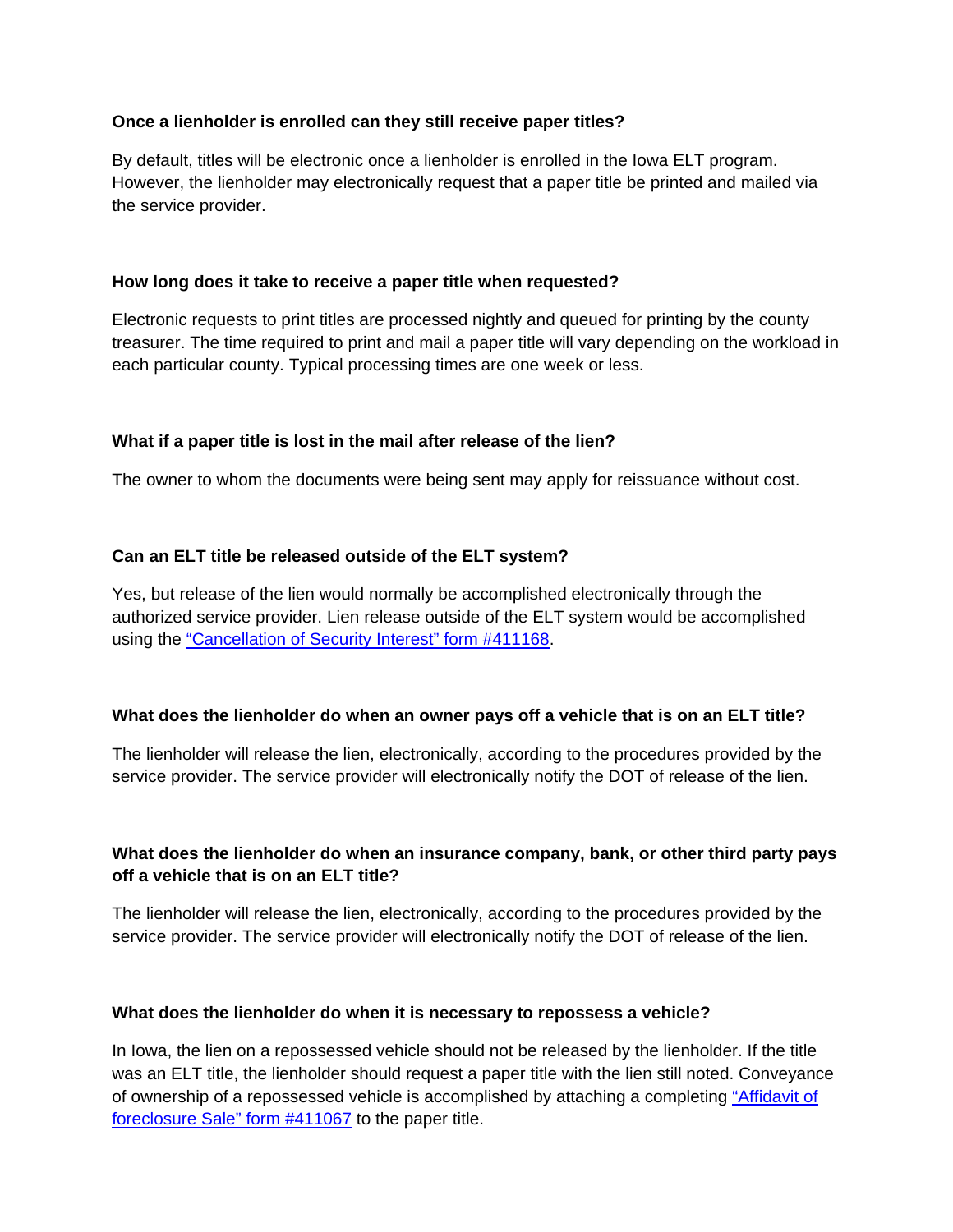# **Once a lienholder is enrolled can they still receive paper titles?**

By default, titles will be electronic once a lienholder is enrolled in the Iowa ELT program. However, the lienholder may electronically request that a paper title be printed and mailed via the service provider.

# **How long does it take to receive a paper title when requested?**

Electronic requests to print titles are processed nightly and queued for printing by the county treasurer. The time required to print and mail a paper title will vary depending on the workload in each particular county. Typical processing times are one week or less.

# **What if a paper title is lost in the mail after release of the lien?**

The owner to whom the documents were being sent may apply for reissuance without cost.

# **Can an ELT title be released outside of the ELT system?**

Yes, but release of the lien would normally be accomplished electronically through the authorized service provider. Lien release outside of the ELT system would be accomplished using the ["Cancellation of Security Interest" form #411168](https://forms.iowadot.gov/BrowseForms.aspx?category=5).

# **What does the lienholder do when an owner pays off a vehicle that is on an ELT title?**

The lienholder will release the lien, electronically, according to the procedures provided by the service provider. The service provider will electronically notify the DOT of release of the lien.

# **What does the lienholder do when an insurance company, bank, or other third party pays off a vehicle that is on an ELT title?**

The lienholder will release the lien, electronically, according to the procedures provided by the service provider. The service provider will electronically notify the DOT of release of the lien.

# **What does the lienholder do when it is necessary to repossess a vehicle?**

In Iowa, the lien on a repossessed vehicle should not be released by the lienholder. If the title was an ELT title, the lienholder should request a paper title with the lien still noted. Conveyance [of ownership of a repossessed vehicle is accomplished by attaching a completing "Affidavit of](https://forms.iowadot.gov/BrowseForms.aspx?category=5)  foreclosure Sale" form #411067 to the paper title.